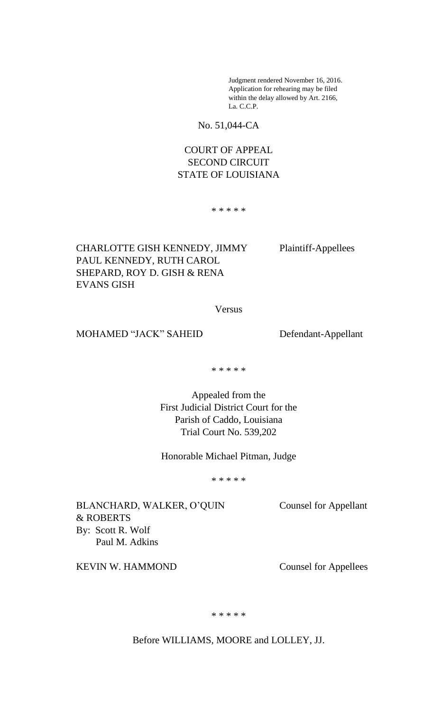Judgment rendered November 16, 2016. Application for rehearing may be filed within the delay allowed by Art. 2166, La. C.C.P.

No. 51,044-CA

# COURT OF APPEAL SECOND CIRCUIT STATE OF LOUISIANA

\* \* \* \* \*

CHARLOTTE GISH KENNEDY, JIMMY Plaintiff-Appellees PAUL KENNEDY, RUTH CAROL SHEPARD, ROY D. GISH & RENA EVANS GISH

Versus

MOHAMED "JACK" SAHEID Defendant-Appellant

\* \* \* \* \*

Appealed from the First Judicial District Court for the Parish of Caddo, Louisiana Trial Court No. 539,202

Honorable Michael Pitman, Judge

\* \* \* \* \*

BLANCHARD, WALKER, O'QUIN Counsel for Appellant & ROBERTS By: Scott R. Wolf Paul M. Adkins

KEVIN W. HAMMOND Counsel for Appellees

\* \* \* \* \*

Before WILLIAMS, MOORE and LOLLEY, JJ.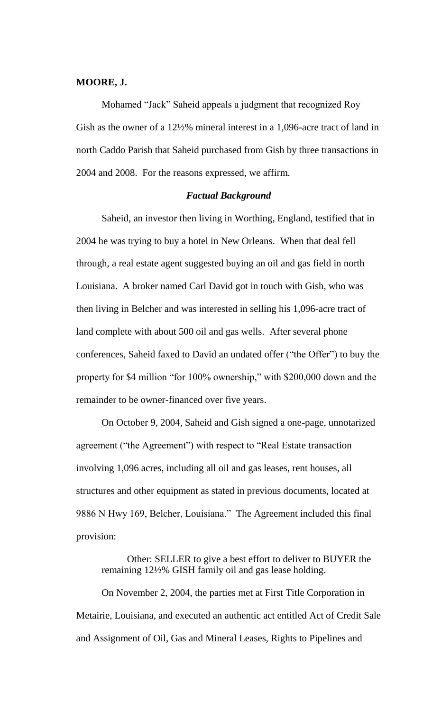### **MOORE, J.**

Mohamed "Jack" Saheid appeals a judgment that recognized Roy Gish as the owner of a 12½% mineral interest in a 1,096-acre tract of land in north Caddo Parish that Saheid purchased from Gish by three transactions in 2004 and 2008. For the reasons expressed, we affirm.

## *Factual Background*

Saheid, an investor then living in Worthing, England, testified that in 2004 he was trying to buy a hotel in New Orleans. When that deal fell through, a real estate agent suggested buying an oil and gas field in north Louisiana. A broker named Carl David got in touch with Gish, who was then living in Belcher and was interested in selling his 1,096-acre tract of land complete with about 500 oil and gas wells. After several phone conferences, Saheid faxed to David an undated offer ("the Offer") to buy the property for \$4 million "for 100% ownership," with \$200,000 down and the remainder to be owner-financed over five years.

On October 9, 2004, Saheid and Gish signed a one-page, unnotarized agreement ("the Agreement") with respect to "Real Estate transaction involving 1,096 acres, including all oil and gas leases, rent houses, all structures and other equipment as stated in previous documents, located at 9886 N Hwy 169, Belcher, Louisiana." The Agreement included this final provision:

Other: SELLER to give a best effort to deliver to BUYER the remaining 12½% GISH family oil and gas lease holding.

On November 2, 2004, the parties met at First Title Corporation in Metairie, Louisiana, and executed an authentic act entitled Act of Credit Sale and Assignment of Oil, Gas and Mineral Leases, Rights to Pipelines and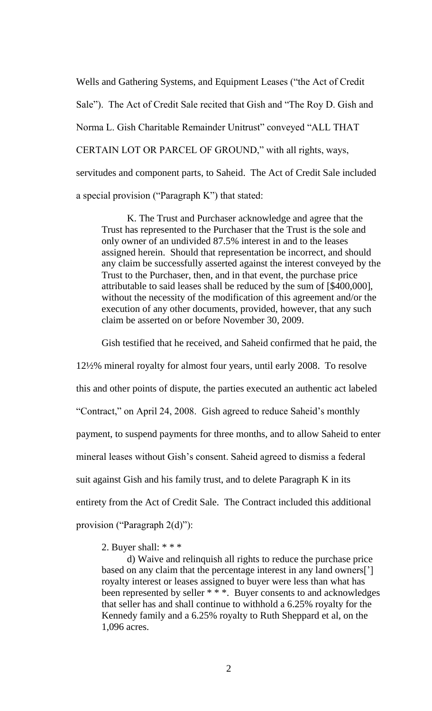Wells and Gathering Systems, and Equipment Leases ("the Act of Credit Sale"). The Act of Credit Sale recited that Gish and "The Roy D. Gish and Norma L. Gish Charitable Remainder Unitrust" conveyed "ALL THAT CERTAIN LOT OR PARCEL OF GROUND," with all rights, ways, servitudes and component parts, to Saheid. The Act of Credit Sale included a special provision ("Paragraph K") that stated:

K. The Trust and Purchaser acknowledge and agree that the Trust has represented to the Purchaser that the Trust is the sole and only owner of an undivided 87.5% interest in and to the leases assigned herein. Should that representation be incorrect, and should any claim be successfully asserted against the interest conveyed by the Trust to the Purchaser, then, and in that event, the purchase price attributable to said leases shall be reduced by the sum of [\$400,000], without the necessity of the modification of this agreement and/or the execution of any other documents, provided, however, that any such claim be asserted on or before November 30, 2009.

Gish testified that he received, and Saheid confirmed that he paid, the

12½% mineral royalty for almost four years, until early 2008. To resolve this and other points of dispute, the parties executed an authentic act labeled "Contract," on April 24, 2008. Gish agreed to reduce Saheid's monthly payment, to suspend payments for three months, and to allow Saheid to enter mineral leases without Gish's consent. Saheid agreed to dismiss a federal suit against Gish and his family trust, and to delete Paragraph K in its entirety from the Act of Credit Sale. The Contract included this additional provision ("Paragraph 2(d)"):

2. Buyer shall: \* \* \*

d) Waive and relinquish all rights to reduce the purchase price based on any claim that the percentage interest in any land owners['] royalty interest or leases assigned to buyer were less than what has been represented by seller \* \* \*. Buyer consents to and acknowledges that seller has and shall continue to withhold a 6.25% royalty for the Kennedy family and a 6.25% royalty to Ruth Sheppard et al, on the 1,096 acres.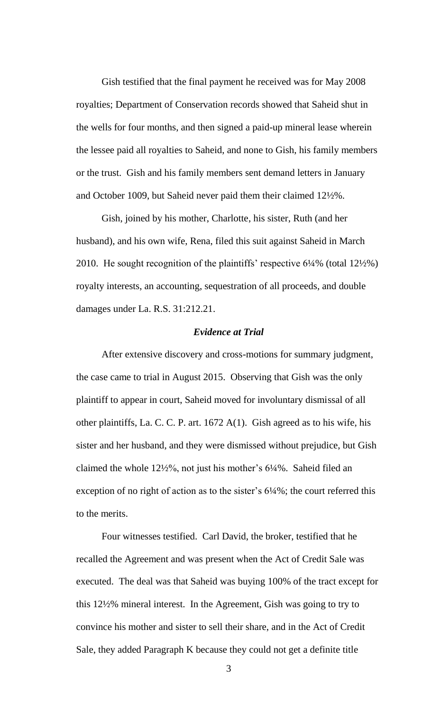Gish testified that the final payment he received was for May 2008 royalties; Department of Conservation records showed that Saheid shut in the wells for four months, and then signed a paid-up mineral lease wherein the lessee paid all royalties to Saheid, and none to Gish, his family members or the trust. Gish and his family members sent demand letters in January and October 1009, but Saheid never paid them their claimed 12½%.

Gish, joined by his mother, Charlotte, his sister, Ruth (and her husband), and his own wife, Rena, filed this suit against Saheid in March 2010. He sought recognition of the plaintiffs' respective 6¼% (total 12½%) royalty interests, an accounting, sequestration of all proceeds, and double damages under La. R.S. 31:212.21.

#### *Evidence at Trial*

After extensive discovery and cross-motions for summary judgment, the case came to trial in August 2015. Observing that Gish was the only plaintiff to appear in court, Saheid moved for involuntary dismissal of all other plaintiffs, La. C. C. P. art. 1672 A(1). Gish agreed as to his wife, his sister and her husband, and they were dismissed without prejudice, but Gish claimed the whole 12½%, not just his mother's 6¼%. Saheid filed an exception of no right of action as to the sister's  $6\frac{1}{4}\%$ ; the court referred this to the merits.

Four witnesses testified. Carl David, the broker, testified that he recalled the Agreement and was present when the Act of Credit Sale was executed. The deal was that Saheid was buying 100% of the tract except for this 12½% mineral interest. In the Agreement, Gish was going to try to convince his mother and sister to sell their share, and in the Act of Credit Sale, they added Paragraph K because they could not get a definite title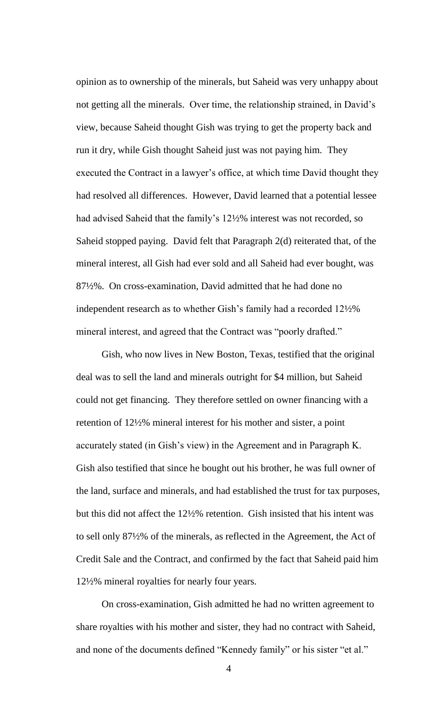opinion as to ownership of the minerals, but Saheid was very unhappy about not getting all the minerals. Over time, the relationship strained, in David's view, because Saheid thought Gish was trying to get the property back and run it dry, while Gish thought Saheid just was not paying him. They executed the Contract in a lawyer's office, at which time David thought they had resolved all differences. However, David learned that a potential lessee had advised Saheid that the family's 12½% interest was not recorded, so Saheid stopped paying. David felt that Paragraph 2(d) reiterated that, of the mineral interest, all Gish had ever sold and all Saheid had ever bought, was 87½%. On cross-examination, David admitted that he had done no independent research as to whether Gish's family had a recorded 12½% mineral interest, and agreed that the Contract was "poorly drafted."

Gish, who now lives in New Boston, Texas, testified that the original deal was to sell the land and minerals outright for \$4 million, but Saheid could not get financing. They therefore settled on owner financing with a retention of 12½% mineral interest for his mother and sister, a point accurately stated (in Gish's view) in the Agreement and in Paragraph K. Gish also testified that since he bought out his brother, he was full owner of the land, surface and minerals, and had established the trust for tax purposes, but this did not affect the 12½% retention. Gish insisted that his intent was to sell only 87½% of the minerals, as reflected in the Agreement, the Act of Credit Sale and the Contract, and confirmed by the fact that Saheid paid him 12½% mineral royalties for nearly four years.

On cross-examination, Gish admitted he had no written agreement to share royalties with his mother and sister, they had no contract with Saheid, and none of the documents defined "Kennedy family" or his sister "et al."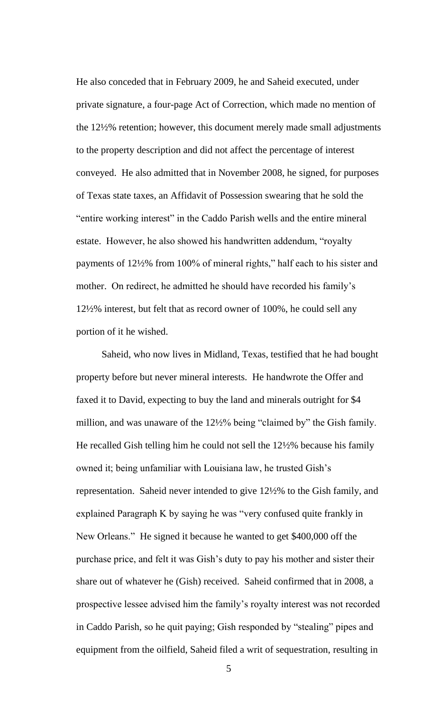He also conceded that in February 2009, he and Saheid executed, under private signature, a four-page Act of Correction, which made no mention of the 12½% retention; however, this document merely made small adjustments to the property description and did not affect the percentage of interest conveyed. He also admitted that in November 2008, he signed, for purposes of Texas state taxes, an Affidavit of Possession swearing that he sold the "entire working interest" in the Caddo Parish wells and the entire mineral estate. However, he also showed his handwritten addendum, "royalty payments of 12½% from 100% of mineral rights," half each to his sister and mother. On redirect, he admitted he should have recorded his family's 12½% interest, but felt that as record owner of 100%, he could sell any portion of it he wished.

Saheid, who now lives in Midland, Texas, testified that he had bought property before but never mineral interests. He handwrote the Offer and faxed it to David, expecting to buy the land and minerals outright for \$4 million, and was unaware of the 12½% being "claimed by" the Gish family. He recalled Gish telling him he could not sell the 12½% because his family owned it; being unfamiliar with Louisiana law, he trusted Gish's representation. Saheid never intended to give 12½% to the Gish family, and explained Paragraph K by saying he was "very confused quite frankly in New Orleans." He signed it because he wanted to get \$400,000 off the purchase price, and felt it was Gish's duty to pay his mother and sister their share out of whatever he (Gish) received. Saheid confirmed that in 2008, a prospective lessee advised him the family's royalty interest was not recorded in Caddo Parish, so he quit paying; Gish responded by "stealing" pipes and equipment from the oilfield, Saheid filed a writ of sequestration, resulting in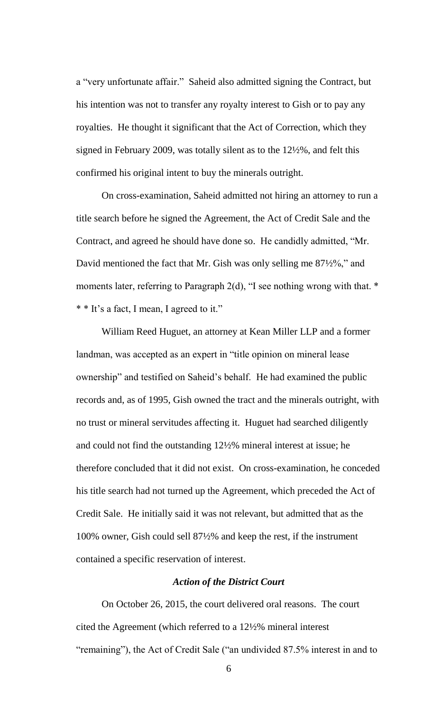a "very unfortunate affair." Saheid also admitted signing the Contract, but his intention was not to transfer any royalty interest to Gish or to pay any royalties. He thought it significant that the Act of Correction, which they signed in February 2009, was totally silent as to the 12½%, and felt this confirmed his original intent to buy the minerals outright.

On cross-examination, Saheid admitted not hiring an attorney to run a title search before he signed the Agreement, the Act of Credit Sale and the Contract, and agreed he should have done so. He candidly admitted, "Mr. David mentioned the fact that Mr. Gish was only selling me 87½%," and moments later, referring to Paragraph 2(d), "I see nothing wrong with that.  $*$ \* \* It's a fact, I mean, I agreed to it."

William Reed Huguet, an attorney at Kean Miller LLP and a former landman, was accepted as an expert in "title opinion on mineral lease ownership" and testified on Saheid's behalf. He had examined the public records and, as of 1995, Gish owned the tract and the minerals outright, with no trust or mineral servitudes affecting it. Huguet had searched diligently and could not find the outstanding 12½% mineral interest at issue; he therefore concluded that it did not exist. On cross-examination, he conceded his title search had not turned up the Agreement, which preceded the Act of Credit Sale. He initially said it was not relevant, but admitted that as the 100% owner, Gish could sell 87½% and keep the rest, if the instrument contained a specific reservation of interest.

#### *Action of the District Court*

On October 26, 2015, the court delivered oral reasons. The court cited the Agreement (which referred to a 12½% mineral interest "remaining"), the Act of Credit Sale ("an undivided 87.5% interest in and to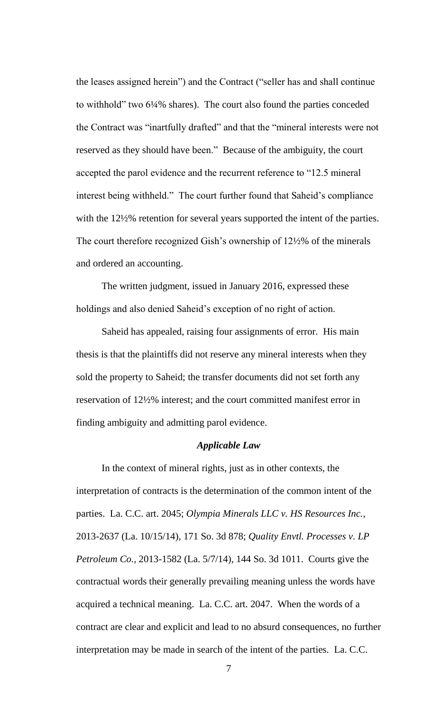the leases assigned herein") and the Contract ("seller has and shall continue to withhold" two 6¼% shares). The court also found the parties conceded the Contract was "inartfully drafted" and that the "mineral interests were not reserved as they should have been." Because of the ambiguity, the court accepted the parol evidence and the recurrent reference to "12.5 mineral interest being withheld." The court further found that Saheid's compliance with the 12½% retention for several years supported the intent of the parties. The court therefore recognized Gish's ownership of 12½% of the minerals and ordered an accounting.

The written judgment, issued in January 2016, expressed these holdings and also denied Saheid's exception of no right of action.

Saheid has appealed, raising four assignments of error. His main thesis is that the plaintiffs did not reserve any mineral interests when they sold the property to Saheid; the transfer documents did not set forth any reservation of 12½% interest; and the court committed manifest error in finding ambiguity and admitting parol evidence.

### *Applicable Law*

In the context of mineral rights, just as in other contexts, the interpretation of contracts is the determination of the common intent of the parties. La. C.C. art. 2045; *Olympia Minerals LLC v. HS Resources Inc.*, 2013-2637 (La. 10/15/14), 171 So. 3d 878; *Quality Envtl. Processes v. LP Petroleum Co.*, 2013-1582 (La. 5/7/14), 144 So. 3d 1011. Courts give the contractual words their generally prevailing meaning unless the words have acquired a technical meaning. La. C.C. art. 2047. When the words of a contract are clear and explicit and lead to no absurd consequences, no further interpretation may be made in search of the intent of the parties. La. C.C.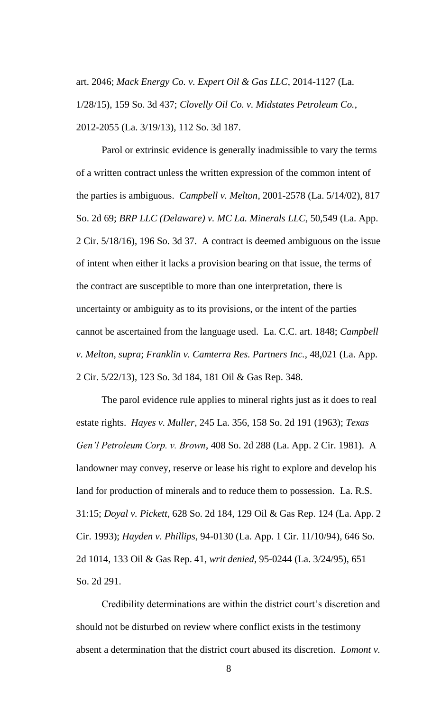art. 2046; *Mack Energy Co. v. Expert Oil & Gas LLC*, 2014-1127 (La. 1/28/15), 159 So. 3d 437; *Clovelly Oil Co. v. Midstates Petroleum Co.*, 2012-2055 (La. 3/19/13), 112 So. 3d 187.

Parol or extrinsic evidence is generally inadmissible to vary the terms of a written contract unless the written expression of the common intent of the parties is ambiguous. *Campbell v. Melton*, 2001-2578 (La. 5/14/02), 817 So. 2d 69; *BRP LLC (Delaware) v. MC La. Minerals LLC*, 50,549 (La. App. 2 Cir. 5/18/16), 196 So. 3d 37. A contract is deemed ambiguous on the issue of intent when either it lacks a provision bearing on that issue, the terms of the contract are susceptible to more than one interpretation, there is uncertainty or ambiguity as to its provisions, or the intent of the parties cannot be ascertained from the language used. La. C.C. art. 1848; *Campbell v. Melton*, *supra*; *Franklin v. Camterra Res. Partners Inc.*, 48,021 (La. App. 2 Cir. 5/22/13), 123 So. 3d 184, 181 Oil & Gas Rep. 348.

The parol evidence rule applies to mineral rights just as it does to real estate rights. *Hayes v. Muller*, 245 La. 356, 158 So. 2d 191 (1963); *Texas Gen'l Petroleum Corp. v. Brown*, 408 So. 2d 288 (La. App. 2 Cir. 1981). A landowner may convey, reserve or lease his right to explore and develop his land for production of minerals and to reduce them to possession. La. R.S. 31:15; *Doyal v. Pickett*, 628 So. 2d 184, 129 Oil & Gas Rep. 124 (La. App. 2 Cir. 1993); *Hayden v. Phillips*, 94-0130 (La. App. 1 Cir. 11/10/94), 646 So. 2d 1014, 133 Oil & Gas Rep. 41, *writ denied*, 95-0244 (La. 3/24/95), 651 So. 2d 291.

Credibility determinations are within the district court's discretion and should not be disturbed on review where conflict exists in the testimony absent a determination that the district court abused its discretion. *Lomont v.*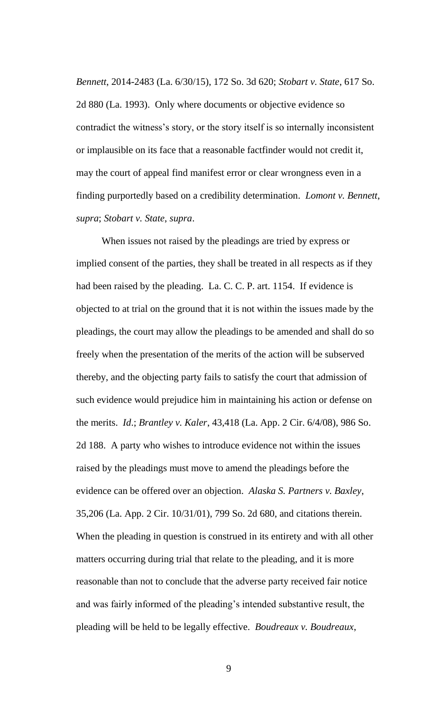*Bennett*, 2014-2483 (La. 6/30/15), 172 So. 3d 620; *Stobart v. State*, 617 So. 2d 880 (La. 1993). Only where documents or objective evidence so contradict the witness's story, or the story itself is so internally inconsistent or implausible on its face that a reasonable factfinder would not credit it, may the court of appeal find manifest error or clear wrongness even in a finding purportedly based on a credibility determination. *Lomont v. Bennett*, *supra*; *Stobart v. State*, *supra*.

When issues not raised by the pleadings are tried by express or implied consent of the parties, they shall be treated in all respects as if they had been raised by the pleading. La. C. C. P. art. 1154. If evidence is objected to at trial on the ground that it is not within the issues made by the pleadings, the court may allow the pleadings to be amended and shall do so freely when the presentation of the merits of the action will be subserved thereby, and the objecting party fails to satisfy the court that admission of such evidence would prejudice him in maintaining his action or defense on the merits. *Id*.; *Brantley v. Kaler*, 43,418 (La. App. 2 Cir. 6/4/08), 986 So. 2d 188. A party who wishes to introduce evidence not within the issues raised by the pleadings must move to amend the pleadings before the evidence can be offered over an objection. *Alaska S. Partners v. Baxley*, 35,206 (La. App. 2 Cir. 10/31/01), 799 So. 2d 680, and citations therein. When the pleading in question is construed in its entirety and with all other matters occurring during trial that relate to the pleading, and it is more reasonable than not to conclude that the adverse party received fair notice and was fairly informed of the pleading's intended substantive result, the pleading will be held to be legally effective. *Boudreaux v. Boudreaux*,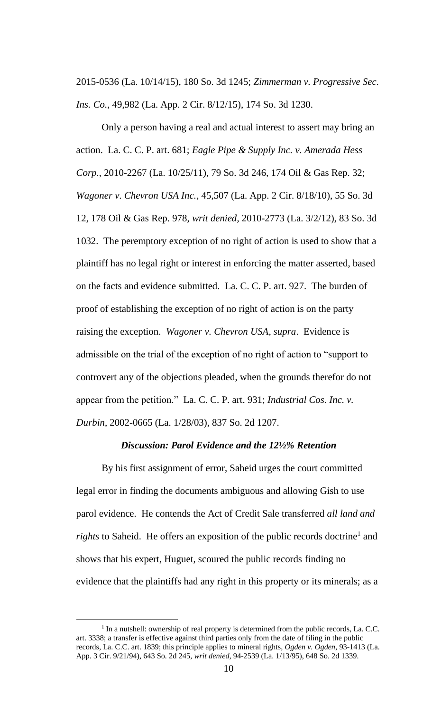2015-0536 (La. 10/14/15), 180 So. 3d 1245; *Zimmerman v. Progressive Sec. Ins. Co.*, 49,982 (La. App. 2 Cir. 8/12/15), 174 So. 3d 1230.

Only a person having a real and actual interest to assert may bring an action. La. C. C. P. art. 681; *Eagle Pipe & Supply Inc. v. Amerada Hess Corp.*, 2010-2267 (La. 10/25/11), 79 So. 3d 246, 174 Oil & Gas Rep. 32; *Wagoner v. Chevron USA Inc.*, 45,507 (La. App. 2 Cir. 8/18/10), 55 So. 3d 12, 178 Oil & Gas Rep. 978, *writ denied*, 2010-2773 (La. 3/2/12), 83 So. 3d 1032. The peremptory exception of no right of action is used to show that a plaintiff has no legal right or interest in enforcing the matter asserted, based on the facts and evidence submitted. La. C. C. P. art. 927. The burden of proof of establishing the exception of no right of action is on the party raising the exception. *Wagoner v. Chevron USA*, *supra*. Evidence is admissible on the trial of the exception of no right of action to "support to controvert any of the objections pleaded, when the grounds therefor do not appear from the petition." La. C. C. P. art. 931; *Industrial Cos. Inc. v. Durbin*, 2002-0665 (La. 1/28/03), 837 So. 2d 1207.

#### *Discussion: Parol Evidence and the 12½% Retention*

By his first assignment of error, Saheid urges the court committed legal error in finding the documents ambiguous and allowing Gish to use parol evidence. He contends the Act of Credit Sale transferred *all land and rights* to Saheid. He offers an exposition of the public records doctrine<sup>1</sup> and shows that his expert, Huguet, scoured the public records finding no evidence that the plaintiffs had any right in this property or its minerals; as a

 $\overline{a}$ 

<sup>&</sup>lt;sup>1</sup> In a nutshell: ownership of real property is determined from the public records, La. C.C. art. 3338; a transfer is effective against third parties only from the date of filing in the public records, La. C.C. art. 1839; this principle applies to mineral rights, *Ogden v. Ogden*, 93-1413 (La. App. 3 Cir. 9/21/94), 643 So. 2d 245, *writ denied*, 94-2539 (La. 1/13/95), 648 So. 2d 1339.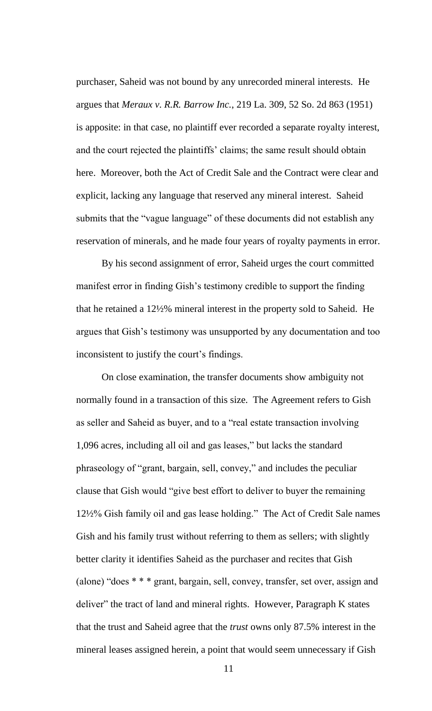purchaser, Saheid was not bound by any unrecorded mineral interests. He argues that *Meraux v. R.R. Barrow Inc.*, 219 La. 309, 52 So. 2d 863 (1951) is apposite: in that case, no plaintiff ever recorded a separate royalty interest, and the court rejected the plaintiffs' claims; the same result should obtain here. Moreover, both the Act of Credit Sale and the Contract were clear and explicit, lacking any language that reserved any mineral interest. Saheid submits that the "vague language" of these documents did not establish any reservation of minerals, and he made four years of royalty payments in error.

By his second assignment of error, Saheid urges the court committed manifest error in finding Gish's testimony credible to support the finding that he retained a 12½% mineral interest in the property sold to Saheid. He argues that Gish's testimony was unsupported by any documentation and too inconsistent to justify the court's findings.

On close examination, the transfer documents show ambiguity not normally found in a transaction of this size. The Agreement refers to Gish as seller and Saheid as buyer, and to a "real estate transaction involving 1,096 acres, including all oil and gas leases," but lacks the standard phraseology of "grant, bargain, sell, convey," and includes the peculiar clause that Gish would "give best effort to deliver to buyer the remaining 12½% Gish family oil and gas lease holding." The Act of Credit Sale names Gish and his family trust without referring to them as sellers; with slightly better clarity it identifies Saheid as the purchaser and recites that Gish (alone) "does \* \* \* grant, bargain, sell, convey, transfer, set over, assign and deliver" the tract of land and mineral rights. However, Paragraph K states that the trust and Saheid agree that the *trust* owns only 87.5% interest in the mineral leases assigned herein, a point that would seem unnecessary if Gish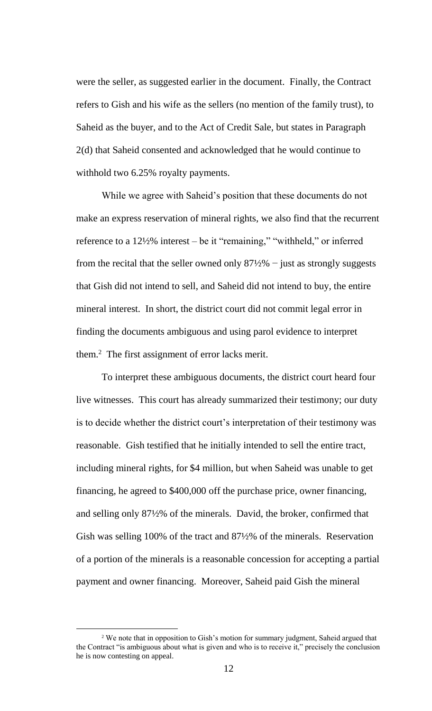were the seller, as suggested earlier in the document. Finally, the Contract refers to Gish and his wife as the sellers (no mention of the family trust), to Saheid as the buyer, and to the Act of Credit Sale, but states in Paragraph 2(d) that Saheid consented and acknowledged that he would continue to withhold two 6.25% royalty payments.

While we agree with Saheid's position that these documents do not make an express reservation of mineral rights, we also find that the recurrent reference to a 12½% interest – be it "remaining," "withheld," or inferred from the recital that the seller owned only  $87\frac{1}{2}\%$  – just as strongly suggests that Gish did not intend to sell, and Saheid did not intend to buy, the entire mineral interest. In short, the district court did not commit legal error in finding the documents ambiguous and using parol evidence to interpret them.<sup>2</sup> The first assignment of error lacks merit.

To interpret these ambiguous documents, the district court heard four live witnesses. This court has already summarized their testimony; our duty is to decide whether the district court's interpretation of their testimony was reasonable. Gish testified that he initially intended to sell the entire tract, including mineral rights, for \$4 million, but when Saheid was unable to get financing, he agreed to \$400,000 off the purchase price, owner financing, and selling only 87½% of the minerals. David, the broker, confirmed that Gish was selling 100% of the tract and 87½% of the minerals. Reservation of a portion of the minerals is a reasonable concession for accepting a partial payment and owner financing. Moreover, Saheid paid Gish the mineral

 $\overline{a}$ 

<sup>&</sup>lt;sup>2</sup> We note that in opposition to Gish's motion for summary judgment, Saheid argued that the Contract "is ambiguous about what is given and who is to receive it," precisely the conclusion he is now contesting on appeal.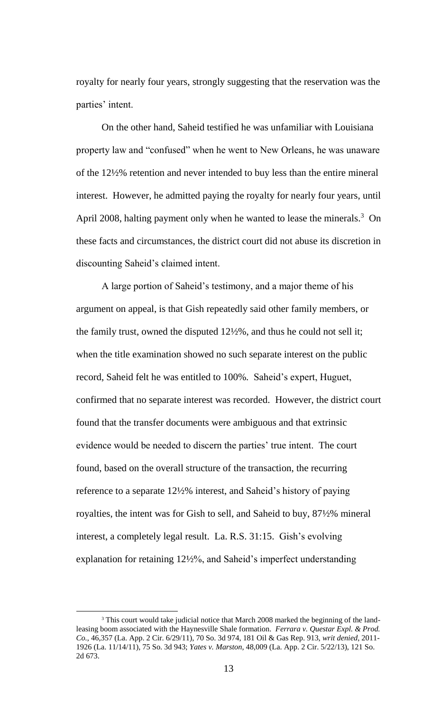royalty for nearly four years, strongly suggesting that the reservation was the parties' intent.

On the other hand, Saheid testified he was unfamiliar with Louisiana property law and "confused" when he went to New Orleans, he was unaware of the 12½% retention and never intended to buy less than the entire mineral interest. However, he admitted paying the royalty for nearly four years, until April 2008, halting payment only when he wanted to lease the minerals.<sup>3</sup> On these facts and circumstances, the district court did not abuse its discretion in discounting Saheid's claimed intent.

A large portion of Saheid's testimony, and a major theme of his argument on appeal, is that Gish repeatedly said other family members, or the family trust, owned the disputed 12½%, and thus he could not sell it; when the title examination showed no such separate interest on the public record, Saheid felt he was entitled to 100%. Saheid's expert, Huguet, confirmed that no separate interest was recorded. However, the district court found that the transfer documents were ambiguous and that extrinsic evidence would be needed to discern the parties' true intent. The court found, based on the overall structure of the transaction, the recurring reference to a separate 12½% interest, and Saheid's history of paying royalties, the intent was for Gish to sell, and Saheid to buy, 87½% mineral interest, a completely legal result. La. R.S. 31:15. Gish's evolving explanation for retaining 12½%, and Saheid's imperfect understanding

 $\overline{a}$ 

<sup>&</sup>lt;sup>3</sup> This court would take judicial notice that March 2008 marked the beginning of the landleasing boom associated with the Haynesville Shale formation. *Ferrara v. Questar Expl. & Prod. Co.*, 46,357 (La. App. 2 Cir. 6/29/11), 70 So. 3d 974, 181 Oil & Gas Rep. 913, *writ denied*, 2011- 1926 (La. 11/14/11), 75 So. 3d 943; *Yates v. Marston*, 48,009 (La. App. 2 Cir. 5/22/13), 121 So. 2d 673.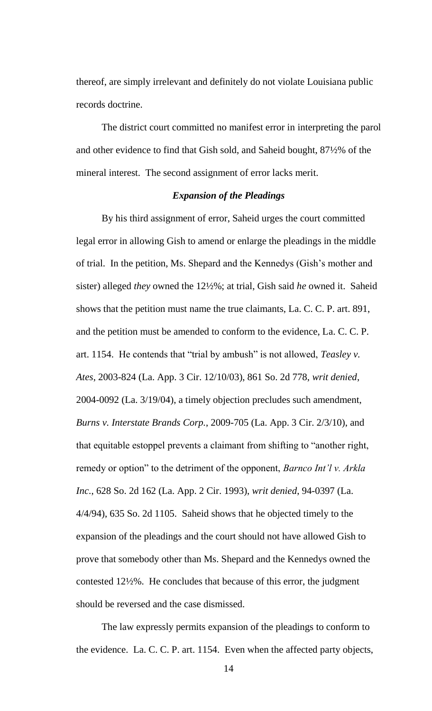thereof, are simply irrelevant and definitely do not violate Louisiana public records doctrine.

The district court committed no manifest error in interpreting the parol and other evidence to find that Gish sold, and Saheid bought, 87½% of the mineral interest. The second assignment of error lacks merit.

# *Expansion of the Pleadings*

By his third assignment of error, Saheid urges the court committed legal error in allowing Gish to amend or enlarge the pleadings in the middle of trial. In the petition, Ms. Shepard and the Kennedys (Gish's mother and sister) alleged *they* owned the 12½%; at trial, Gish said *he* owned it. Saheid shows that the petition must name the true claimants, La. C. C. P. art. 891, and the petition must be amended to conform to the evidence, La. C. C. P. art. 1154. He contends that "trial by ambush" is not allowed, *Teasley v. Ates*, 2003-824 (La. App. 3 Cir. 12/10/03), 861 So. 2d 778, *writ denied*, 2004-0092 (La. 3/19/04), a timely objection precludes such amendment, *Burns v. Interstate Brands Corp.*, 2009-705 (La. App. 3 Cir. 2/3/10), and that equitable estoppel prevents a claimant from shifting to "another right, remedy or option" to the detriment of the opponent, *Barnco Int'l v. Arkla Inc.*, 628 So. 2d 162 (La. App. 2 Cir. 1993), *writ denied*, 94-0397 (La. 4/4/94), 635 So. 2d 1105. Saheid shows that he objected timely to the expansion of the pleadings and the court should not have allowed Gish to prove that somebody other than Ms. Shepard and the Kennedys owned the contested 12½%. He concludes that because of this error, the judgment should be reversed and the case dismissed.

The law expressly permits expansion of the pleadings to conform to the evidence. La. C. C. P. art. 1154. Even when the affected party objects,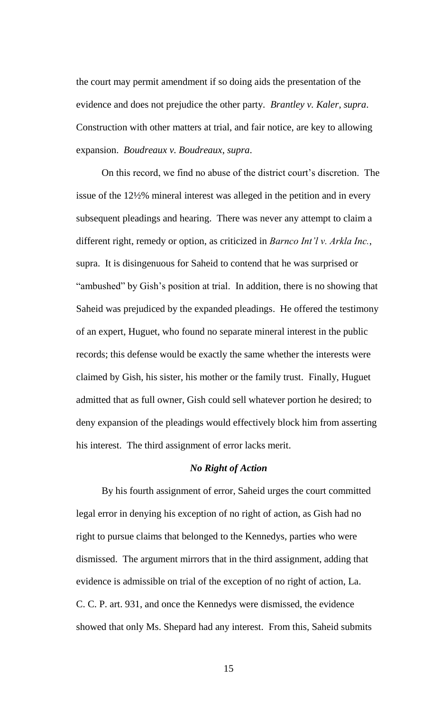the court may permit amendment if so doing aids the presentation of the evidence and does not prejudice the other party. *Brantley v. Kaler*, *supra*. Construction with other matters at trial, and fair notice, are key to allowing expansion. *Boudreaux v. Boudreaux*, *supra*.

On this record, we find no abuse of the district court's discretion. The issue of the 12½% mineral interest was alleged in the petition and in every subsequent pleadings and hearing. There was never any attempt to claim a different right, remedy or option, as criticized in *Barnco Int'l v. Arkla Inc.*, supra. It is disingenuous for Saheid to contend that he was surprised or "ambushed" by Gish's position at trial. In addition, there is no showing that Saheid was prejudiced by the expanded pleadings. He offered the testimony of an expert, Huguet, who found no separate mineral interest in the public records; this defense would be exactly the same whether the interests were claimed by Gish, his sister, his mother or the family trust. Finally, Huguet admitted that as full owner, Gish could sell whatever portion he desired; to deny expansion of the pleadings would effectively block him from asserting his interest. The third assignment of error lacks merit.

# *No Right of Action*

By his fourth assignment of error, Saheid urges the court committed legal error in denying his exception of no right of action, as Gish had no right to pursue claims that belonged to the Kennedys, parties who were dismissed. The argument mirrors that in the third assignment, adding that evidence is admissible on trial of the exception of no right of action, La. C. C. P. art. 931, and once the Kennedys were dismissed, the evidence showed that only Ms. Shepard had any interest. From this, Saheid submits